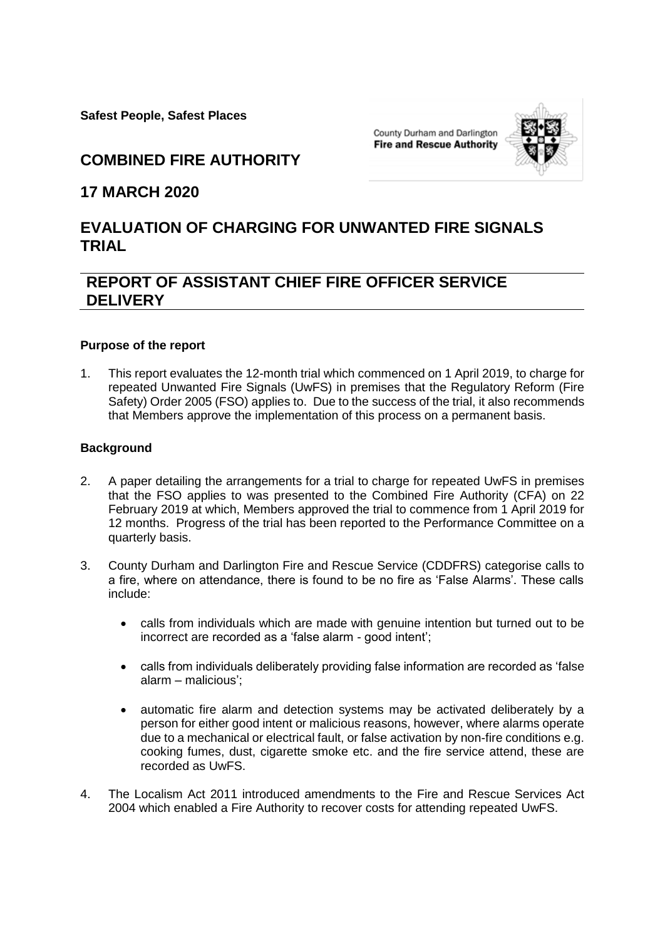**Safest People, Safest Places** 

County Durham and Darlington **Fire and Rescue Authority** 



**COMBINED FIRE AUTHORITY**

## **17 MARCH 2020**

# **EVALUATION OF CHARGING FOR UNWANTED FIRE SIGNALS TRIAL**

# **REPORT OF ASSISTANT CHIEF FIRE OFFICER SERVICE DELIVERY**

### **Purpose of the report**

1. This report evaluates the 12-month trial which commenced on 1 April 2019, to charge for repeated Unwanted Fire Signals (UwFS) in premises that the Regulatory Reform (Fire Safety) Order 2005 (FSO) applies to. Due to the success of the trial, it also recommends that Members approve the implementation of this process on a permanent basis.

### **Background**

- 2. A paper detailing the arrangements for a trial to charge for repeated UwFS in premises that the FSO applies to was presented to the Combined Fire Authority (CFA) on 22 February 2019 at which, Members approved the trial to commence from 1 April 2019 for 12 months. Progress of the trial has been reported to the Performance Committee on a quarterly basis.
- 3. County Durham and Darlington Fire and Rescue Service (CDDFRS) categorise calls to a fire, where on attendance, there is found to be no fire as 'False Alarms'. These calls include:
	- calls from individuals which are made with genuine intention but turned out to be incorrect are recorded as a 'false alarm - good intent';
	- calls from individuals deliberately providing false information are recorded as 'false alarm – malicious';
	- automatic fire alarm and detection systems may be activated deliberately by a person for either good intent or malicious reasons, however, where alarms operate due to a mechanical or electrical fault, or false activation by non-fire conditions e.g. cooking fumes, dust, cigarette smoke etc. and the fire service attend, these are recorded as UwFS.
- 4. The Localism Act 2011 introduced amendments to the Fire and Rescue Services Act 2004 which enabled a Fire Authority to recover costs for attending repeated UwFS.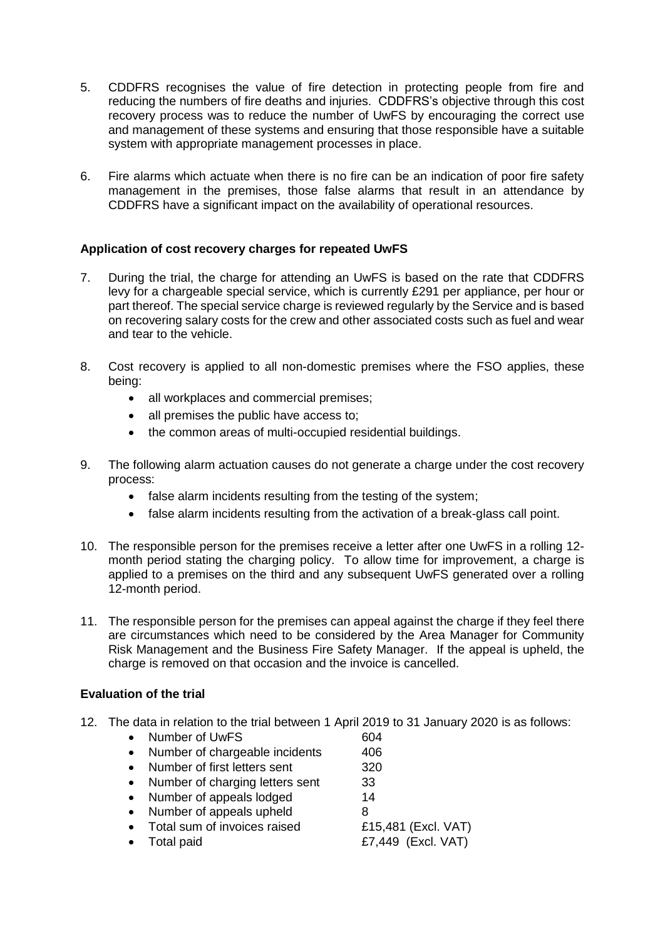- 5. CDDFRS recognises the value of fire detection in protecting people from fire and reducing the numbers of fire deaths and injuries. CDDFRS's objective through this cost recovery process was to reduce the number of UwFS by encouraging the correct use and management of these systems and ensuring that those responsible have a suitable system with appropriate management processes in place.
- 6. Fire alarms which actuate when there is no fire can be an indication of poor fire safety management in the premises, those false alarms that result in an attendance by CDDFRS have a significant impact on the availability of operational resources.

### **Application of cost recovery charges for repeated UwFS**

- 7. During the trial, the charge for attending an UwFS is based on the rate that CDDFRS levy for a chargeable special service, which is currently £291 per appliance, per hour or part thereof. The special service charge is reviewed regularly by the Service and is based on recovering salary costs for the crew and other associated costs such as fuel and wear and tear to the vehicle.
- 8. Cost recovery is applied to all non-domestic premises where the FSO applies, these being:
	- all workplaces and commercial premises;
	- all premises the public have access to;
	- the common areas of multi-occupied residential buildings.
- 9. The following alarm actuation causes do not generate a charge under the cost recovery process:
	- false alarm incidents resulting from the testing of the system;
	- false alarm incidents resulting from the activation of a break-glass call point.
- 10. The responsible person for the premises receive a letter after one UwFS in a rolling 12 month period stating the charging policy. To allow time for improvement, a charge is applied to a premises on the third and any subsequent UwFS generated over a rolling 12-month period.
- 11. The responsible person for the premises can appeal against the charge if they feel there are circumstances which need to be considered by the Area Manager for Community Risk Management and the Business Fire Safety Manager. If the appeal is upheld, the charge is removed on that occasion and the invoice is cancelled.

## **Evaluation of the trial**

- 12. The data in relation to the trial between 1 April 2019 to 31 January 2020 is as follows:
	- Number of UwFS 604
	- Number of chargeable incidents 406
	- Number of first letters sent 320
	- Number of charging letters sent 33
	- Number of appeals lodged 14
	- Number of appeals upheld 8

- Total sum of invoices raised E15,481 (Excl. VAT)
- 

Total paid  $E7,449$  (Excl. VAT)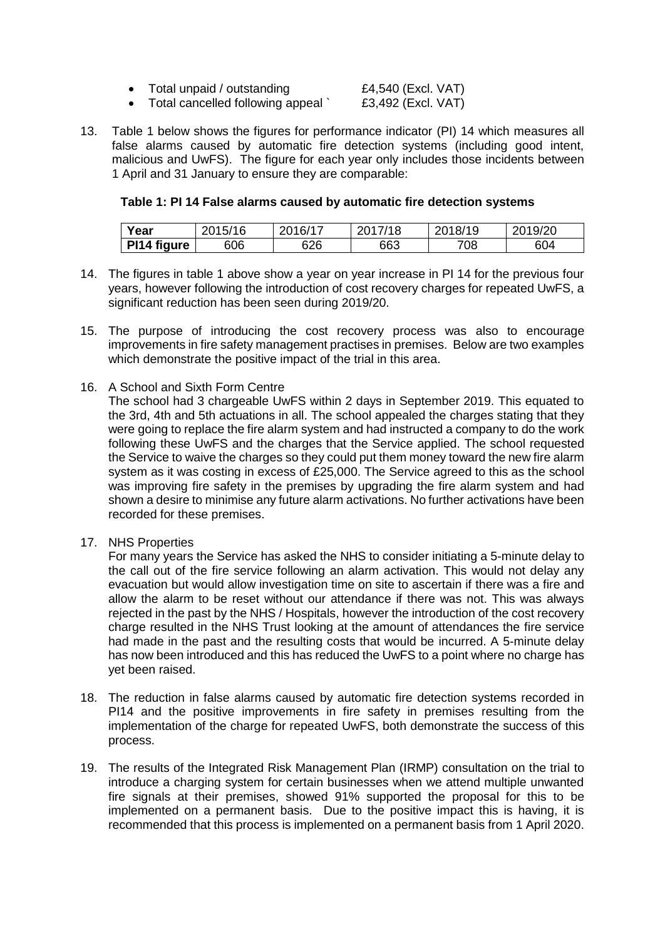| Total unpaid / outstanding | £4,540 (Excl. VAT) |
|----------------------------|--------------------|
| .                          | ------<br>$\cdots$ |

- Total cancelled following appeal ` £3,492 (Excl. VAT)
- 13. Table 1 below shows the figures for performance indicator (PI) 14 which measures all false alarms caused by automatic fire detection systems (including good intent, malicious and UwFS). The figure for each year only includes those incidents between 1 April and 31 January to ensure they are comparable:

#### **Table 1: PI 14 False alarms caused by automatic fire detection systems**

| Year        | 2015/16 | 2016/17 | 2017/18 | 2018/19 | 2019/20 |
|-------------|---------|---------|---------|---------|---------|
| PI14 figure | 606     | 626     | 663     | 708     | 604     |

- 14. The figures in table 1 above show a year on year increase in PI 14 for the previous four years, however following the introduction of cost recovery charges for repeated UwFS, a significant reduction has been seen during 2019/20.
- 15. The purpose of introducing the cost recovery process was also to encourage improvements in fire safety management practises in premises. Below are two examples which demonstrate the positive impact of the trial in this area.
- 16. A School and Sixth Form Centre

The school had 3 chargeable UwFS within 2 days in September 2019. This equated to the 3rd, 4th and 5th actuations in all. The school appealed the charges stating that they were going to replace the fire alarm system and had instructed a company to do the work following these UwFS and the charges that the Service applied. The school requested the Service to waive the charges so they could put them money toward the new fire alarm system as it was costing in excess of £25,000. The Service agreed to this as the school was improving fire safety in the premises by upgrading the fire alarm system and had shown a desire to minimise any future alarm activations. No further activations have been recorded for these premises.

17. NHS Properties

For many years the Service has asked the NHS to consider initiating a 5-minute delay to the call out of the fire service following an alarm activation. This would not delay any evacuation but would allow investigation time on site to ascertain if there was a fire and allow the alarm to be reset without our attendance if there was not. This was always rejected in the past by the NHS / Hospitals, however the introduction of the cost recovery charge resulted in the NHS Trust looking at the amount of attendances the fire service had made in the past and the resulting costs that would be incurred. A 5-minute delay has now been introduced and this has reduced the UwFS to a point where no charge has yet been raised.

- 18. The reduction in false alarms caused by automatic fire detection systems recorded in PI14 and the positive improvements in fire safety in premises resulting from the implementation of the charge for repeated UwFS, both demonstrate the success of this process.
- 19. The results of the Integrated Risk Management Plan (IRMP) consultation on the trial to introduce a charging system for certain businesses when we attend multiple unwanted fire signals at their premises, showed 91% supported the proposal for this to be implemented on a permanent basis. Due to the positive impact this is having, it is recommended that this process is implemented on a permanent basis from 1 April 2020.